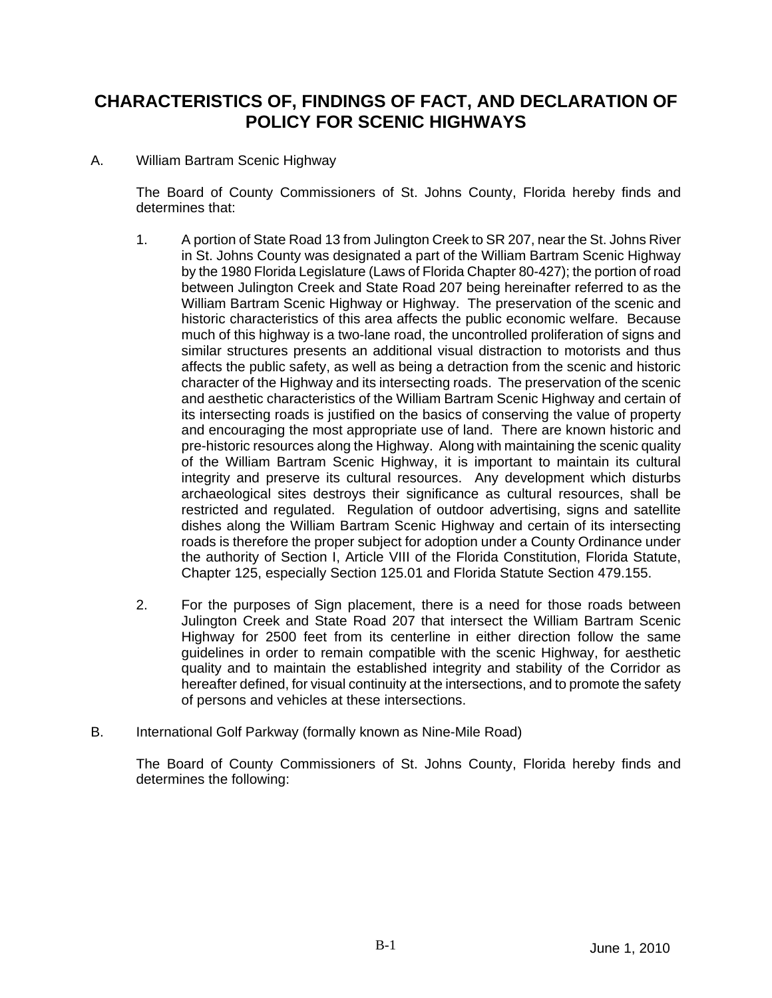## **CHARACTERISTICS OF, FINDINGS OF FACT, AND DECLARATION OF POLICY FOR SCENIC HIGHWAYS**

## A. William Bartram Scenic Highway

The Board of County Commissioners of St. Johns County, Florida hereby finds and determines that:

- 1. A portion of State Road 13 from Julington Creek to SR 207, near the St. Johns River in St. Johns County was designated a part of the William Bartram Scenic Highway by the 1980 Florida Legislature (Laws of Florida Chapter 80-427); the portion of road between Julington Creek and State Road 207 being hereinafter referred to as the William Bartram Scenic Highway or Highway. The preservation of the scenic and historic characteristics of this area affects the public economic welfare. Because much of this highway is a two-lane road, the uncontrolled proliferation of signs and similar structures presents an additional visual distraction to motorists and thus affects the public safety, as well as being a detraction from the scenic and historic character of the Highway and its intersecting roads. The preservation of the scenic and aesthetic characteristics of the William Bartram Scenic Highway and certain of its intersecting roads is justified on the basics of conserving the value of property and encouraging the most appropriate use of land. There are known historic and pre-historic resources along the Highway. Along with maintaining the scenic quality of the William Bartram Scenic Highway, it is important to maintain its cultural integrity and preserve its cultural resources. Any development which disturbs archaeological sites destroys their significance as cultural resources, shall be restricted and regulated. Regulation of outdoor advertising, signs and satellite dishes along the William Bartram Scenic Highway and certain of its intersecting roads is therefore the proper subject for adoption under a County Ordinance under the authority of Section I, Article VIII of the Florida Constitution, Florida Statute, Chapter 125, especially Section 125.01 and Florida Statute Section 479.155.
- 2. For the purposes of Sign placement, there is a need for those roads between Julington Creek and State Road 207 that intersect the William Bartram Scenic Highway for 2500 feet from its centerline in either direction follow the same guidelines in order to remain compatible with the scenic Highway, for aesthetic quality and to maintain the established integrity and stability of the Corridor as hereafter defined, for visual continuity at the intersections, and to promote the safety of persons and vehicles at these intersections.
- B. International Golf Parkway (formally known as Nine-Mile Road)

The Board of County Commissioners of St. Johns County, Florida hereby finds and determines the following: